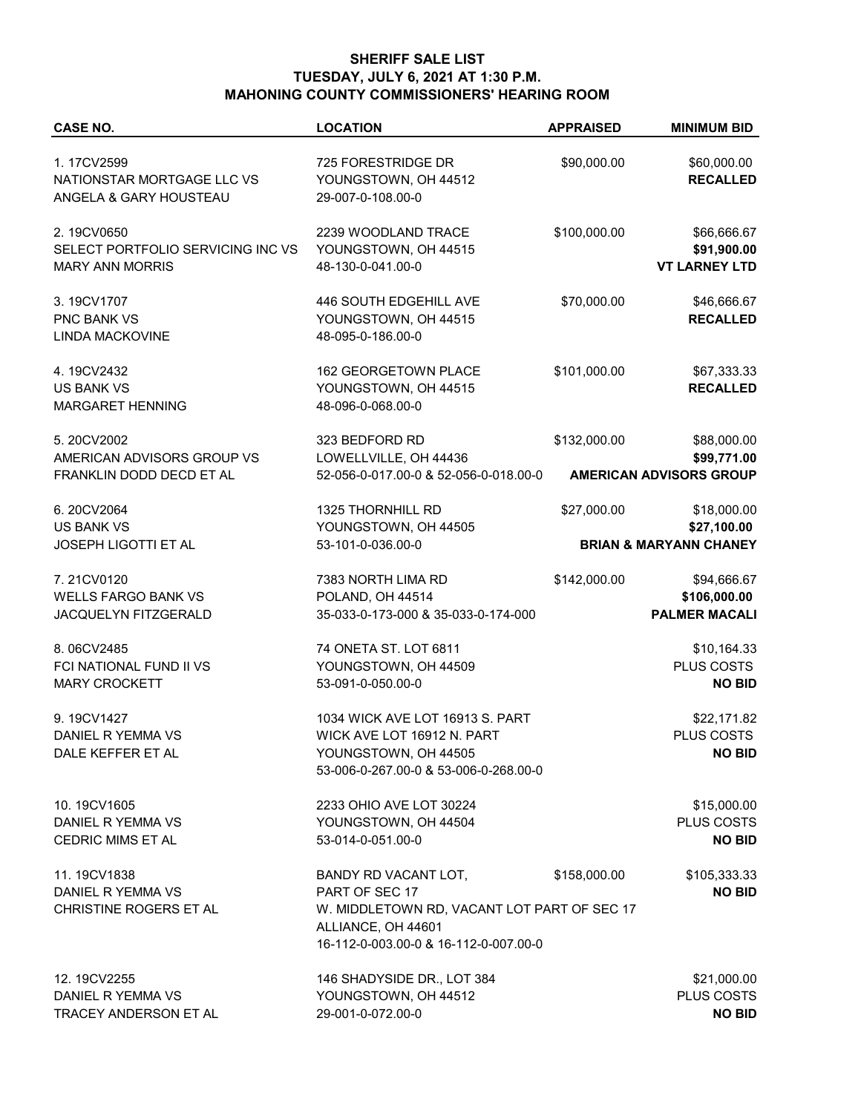## **SHERIFF SALE LIST TUESDAY, JULY 6, 2021 AT 1:30 P.M. MAHONING COUNTY COMMISSIONERS' HEARING ROOM**

| <b>CASE NO.</b>                                                           | <b>LOCATION</b>                                                                                                                                      | <b>APPRAISED</b> | <b>MINIMUM BID</b>                                  |
|---------------------------------------------------------------------------|------------------------------------------------------------------------------------------------------------------------------------------------------|------------------|-----------------------------------------------------|
| 1.17CV2599<br>NATIONSTAR MORTGAGE LLC VS<br>ANGELA & GARY HOUSTEAU        | 725 FORESTRIDGE DR<br>YOUNGSTOWN, OH 44512<br>29-007-0-108.00-0                                                                                      | \$90,000.00      | \$60,000.00<br><b>RECALLED</b>                      |
| 2.19CV0650<br>SELECT PORTFOLIO SERVICING INC VS<br><b>MARY ANN MORRIS</b> | 2239 WOODLAND TRACE<br>YOUNGSTOWN, OH 44515<br>48-130-0-041.00-0                                                                                     | \$100,000.00     | \$66,666.67<br>\$91,900.00<br><b>VT LARNEY LTD</b>  |
| 3.19CV1707<br><b>PNC BANK VS</b><br><b>LINDA MACKOVINE</b>                | 446 SOUTH EDGEHILL AVE<br>YOUNGSTOWN, OH 44515<br>48-095-0-186.00-0                                                                                  | \$70,000.00      | \$46,666.67<br><b>RECALLED</b>                      |
| 4.19CV2432<br><b>US BANK VS</b><br>MARGARET HENNING                       | 162 GEORGETOWN PLACE<br>YOUNGSTOWN, OH 44515<br>48-096-0-068.00-0                                                                                    | \$101,000.00     | \$67,333.33<br><b>RECALLED</b>                      |
| 5.20CV2002<br>AMERICAN ADVISORS GROUP VS                                  | 323 BEDFORD RD<br>LOWELLVILLE, OH 44436                                                                                                              | \$132,000.00     | \$88,000.00<br>\$99,771.00                          |
| FRANKLIN DODD DECD ET AL                                                  | 52-056-0-017.00-0 & 52-056-0-018.00-0                                                                                                                |                  | <b>AMERICAN ADVISORS GROUP</b>                      |
| 6.20CV2064<br><b>US BANK VS</b>                                           | 1325 THORNHILL RD<br>YOUNGSTOWN, OH 44505                                                                                                            | \$27,000.00      | \$18,000.00<br>\$27,100.00                          |
| <b>JOSEPH LIGOTTI ET AL</b>                                               | 53-101-0-036.00-0                                                                                                                                    |                  | <b>BRIAN &amp; MARYANN CHANEY</b>                   |
| 7.21CV0120<br><b>WELLS FARGO BANK VS</b><br>JACQUELYN FITZGERALD          | 7383 NORTH LIMA RD<br>POLAND, OH 44514<br>35-033-0-173-000 & 35-033-0-174-000                                                                        | \$142,000.00     | \$94,666.67<br>\$106,000.00<br><b>PALMER MACALI</b> |
| 8.06CV2485<br>FCI NATIONAL FUND II VS<br><b>MARY CROCKETT</b>             | 74 ONETA ST. LOT 6811<br>YOUNGSTOWN, OH 44509<br>53-091-0-050.00-0                                                                                   |                  | \$10,164.33<br>PLUS COSTS<br><b>NO BID</b>          |
| 9.19CV1427<br>DANIEL R YEMMA VS<br>DALE KEFFER ET AL                      | 1034 WICK AVE LOT 16913 S. PART<br>WICK AVE LOT 16912 N. PART<br>YOUNGSTOWN, OH 44505<br>53-006-0-267.00-0 & 53-006-0-268.00-0                       |                  | \$22,171.82<br>PLUS COSTS<br><b>NO BID</b>          |
| 10.19CV1605<br>DANIEL R YEMMA VS<br><b>CEDRIC MIMS ET AL</b>              | 2233 OHIO AVE LOT 30224<br>YOUNGSTOWN, OH 44504<br>53-014-0-051.00-0                                                                                 |                  | \$15,000.00<br><b>PLUS COSTS</b><br><b>NO BID</b>   |
| 11.19CV1838<br>DANIEL R YEMMA VS<br>CHRISTINE ROGERS ET AL                | BANDY RD VACANT LOT,<br>PART OF SEC 17<br>W. MIDDLETOWN RD, VACANT LOT PART OF SEC 17<br>ALLIANCE, OH 44601<br>16-112-0-003.00-0 & 16-112-0-007.00-0 | \$158,000.00     | \$105,333.33<br><b>NO BID</b>                       |
| 12.19CV2255<br>DANIEL R YEMMA VS<br>TRACEY ANDERSON ET AL                 | 146 SHADYSIDE DR., LOT 384<br>YOUNGSTOWN, OH 44512<br>29-001-0-072.00-0                                                                              |                  | \$21,000.00<br>PLUS COSTS<br><b>NO BID</b>          |